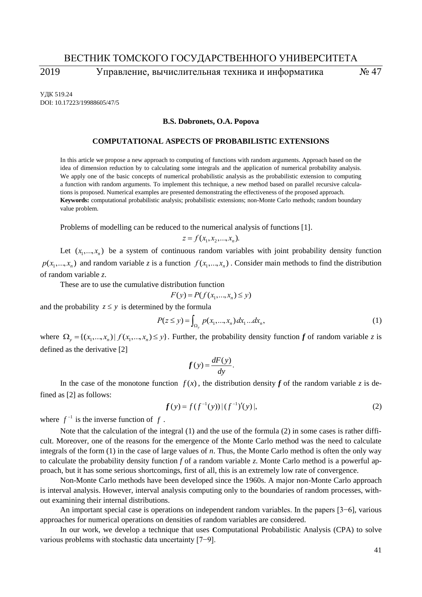# ВЕСТНИК ТОМСКОГО ГОСУДАРСТВЕННОГО УНИВЕРСИТЕТА

2019 Управление, вычислительная техника и информатика № 47

УДК 519.24 DOI: 10.17223/19988605/47/5

### **B.S. Dobronets, O.A. Popova**

#### **COMPUTATIONAL ASPECTS OF PROBABILISTIC EXTENSIONS**

In this article we propose a new approach to computing of functions with random arguments. Approach based on the idea of dimension reduction by to calculating some integrals and the application of numerical probability analysis. We apply one of the basic concepts of numerical probabilistic analysis as the probabilistic extension to computing a function with random arguments. To implement this technique, a new method based on parallel recursive calculations is proposed. Numerical examples are presented demonstrating the effectiveness of the proposed approach. **Keywords:** computational probabilistic analysis; probabilistic extensions; non-Monte Carlo methods; random boundary value problem.

Problems of modelling can be reduced to the numerical analysis of functions [1].

$$
z = f(x_1, x_2, ..., x_n).
$$

Let  $(x_1, \ldots, x_n)$  be a system of continuous random variables with joint probability density function  $p(x_1, \ldots, x_n)$  and random variable *z* is a function  $f(x_1, \ldots, x_n)$ . Consider main methods to find the distribution of random variable *z*.

These are to use the cumulative distribution function

$$
F(y) = P(f(x_1, \ldots, x_n) \le y)
$$

and the probability  $z \leq y$  is determined by the formula

$$
P(z \le y) = \int_{\Omega_y} p(x_1, ..., x_n) dx_1 ... dx_n,
$$
 (1)

where  $\Omega_y = \{(x_1, ..., x_n) | f(x_1, ..., x_n) \le y\}$ . Further, the probability density function f of random variable z is defined as the derivative [2]

$$
f(y) = \frac{dF(y)}{dy}.
$$

In the case of the monotone function  $f(x)$ , the distribution density  $f$  of the random variable  $z$  is defined as [2] as follows:

$$
f(y) = f(f^{-1}(y))|(f^{-1})'(y)|,
$$
\n(2)

where  $f^{-1}$  is the inverse function of f.

Note that the calculation of the integral (1) and the use of the formula (2) in some cases is rather difficult. Moreover, one of the reasons for the emergence of the Monte Carlo method was the need to calculate integrals of the form (1) in the case of large values of *n*. Thus, the Monte Carlo method is often the only way to calculate the probability density function *f* of a random variable *z*. Monte Carlo method is a powerful approach, but it has some serious shortcomings, first of all, this is an extremely low rate of convergence.

Non-Monte Carlo methods have been developed since the 1960s. A major non-Monte Carlo approach is interval analysis. However, interval analysis computing only to the boundaries of random processes, without examining their internal distributions.

An important special case is operations on independent random variables. In the papers [3−6], various approaches for numerical operations on densities of random variables are considered.

In our work, we develop a technique that uses **C**omputational Probabilistic Analysis (CPA) to solve various problems with stochastic data uncertainty [7−9].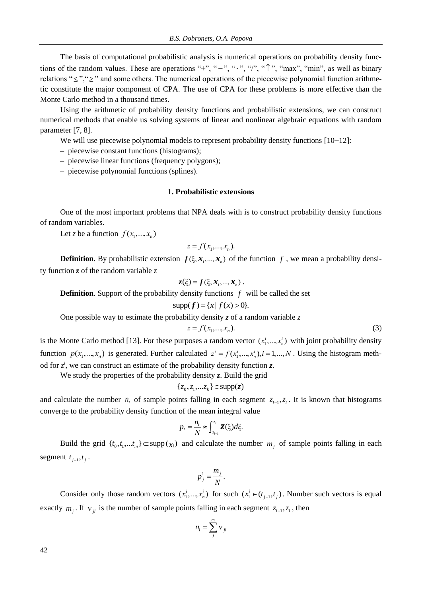The basis of computational probabilistic analysis is numerical operations on probability density functions of the random values. These are operations "+", "-", ".", "",", " $\uparrow$ ", "max", "min", as well as binary relations " $\leq$ ", " $\geq$ " and some others. The numerical operations of the piecewise polynomial function arithmetic constitute the major component of CPA. The use of CPA for these problems is more effective than the Monte Carlo method in a thousand times.

Using the arithmetic of probability density functions and probabilistic extensions, we can construct numerical methods that enable us solving systems of linear and nonlinear algebraic equations with random parameter [7, 8].

We will use piecewise polynomial models to represent probability density functions [10−12]:

– piecewise constant functions (histograms);

– piecewise linear functions (frequency polygons);

– piecewise polynomial functions (splines).

## **1. Probabilistic extensions**

One of the most important problems that NPA deals with is to construct probability density functions of random variables.

Let *z* be a function  $f(x_1, \ldots, x_n)$ 

$$
z = f(x_1, \ldots, x_n).
$$

**Definition**. By probabilistic extension  $f(\xi, \mathbf{x}_1, ..., \mathbf{x}_n)$  of the function f, we mean a probability density function *z* of the random variable *z*

$$
z(\xi) = f(\xi, \mathbf{x}_1, ..., \mathbf{x}_n).
$$

**Definition.** Support of the probability density functions  $f$  will be called the set

$$
supp(f) = \{x \mid f(x) > 0\}.
$$

One possible way to estimate the probability density  $z$  of a random variable  $z$ 

$$
z = f(x_1, \ldots, x_n). \tag{3}
$$

is the Monte Carlo method [13]. For these purposes a random vector  $(x_1^i, ..., x_n^i)$  with joint probability density function  $p(x_1,...,x_n)$  is generated. Further calculated  $z^i = f(x_1^i,...,x_n^i), i = 1,...,N$ . Using the histogram method for  $z^i$ , we can construct an estimate of the probability density function *z*.

We study the properties of the probability density *z*. Build the grid

$$
\{z_0, z_1, \dots z_k\} \in \text{supp}(\mathbf{z})
$$

and calculate the number  $n_l$  of sample points falling in each segment  $z_{l-1}, z_l$ . It is known that histograms converge to the probability density function of the mean integral value

$$
p_{l}=\frac{n_{l}}{N}\approx\int_{z_{l-1}}^{z_{l}}\mathbf{Z}(\xi)d\xi.
$$

Build the grid  $\{t_0, t_1, \ldots, t_m\} \subset \text{supp}(\chi_1)$  and calculate the number  $m_j$  of sample points falling in each segment  $t_{j-1}, t_j$ .

$$
p_j^1 = \frac{m_j}{N}.
$$

Consider only those random vectors  $(x_1^i, ..., x_n^i)$  for such  $(x_1^i \in (t_{j-1}, t_j)$ . Number such vectors is equal exactly  $m_j$ . If  $v_{jl}$  is the number of sample points falling in each segment  $z_{l-1}, z_l$ , then

$$
n_l = \sum_{j}^{m} v_{jl}
$$

42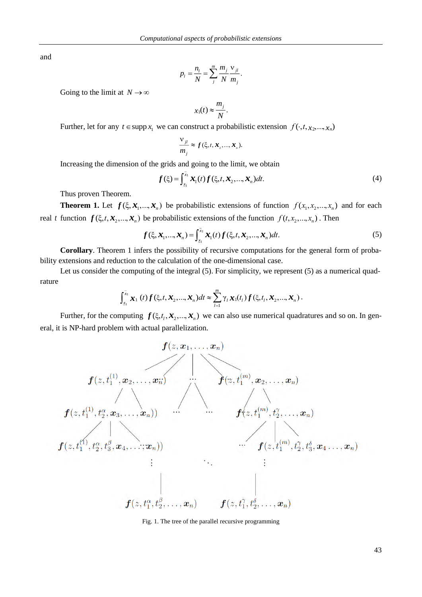and

$$
p_i = \frac{n_i}{N} = \sum_{j}^{m} \frac{m_j}{N} \frac{v_{ji}}{m_j}.
$$

Going to the limit at  $N \to \infty$ 

$$
x_1(t) \approx \frac{m_j}{N}.
$$

Further, let for any  $t \in \text{supp } x_1$  we can construct a probabilistic extension  $f(\cdot, t, x_2, \dots, x_n)$ 

$$
\frac{\mathbf{V}_{jl}}{m_j} \approx f(\xi, t, \mathbf{x}_2, ..., \mathbf{x}_n).
$$

Increasing the dimension of the grids and going to the limit, we obtain

$$
f(\xi) = \int_{\underline{x}_1}^{x_1} \mathbf{x}_1(t) f(\xi, t, \mathbf{x}_2, \dots, \mathbf{x}_n) dt.
$$
 (4)

Thus proven Theorem.

**Theorem 1.** Let  $f(\xi, \mathbf{x}_1, ..., \mathbf{x}_n)$  be probabilistic extensions of function  $f(x_1, x_2, ..., x_n)$  and for each real t function  $f(\xi, t, x_2,...,x_n)$  be probabilistic extensions of the function  $f(t, x_2,...,x_n)$ . Then

$$
f(\xi, \mathbf{x}_1, \dots, \mathbf{x}_n) = \int_{x_1}^{x_1} \mathbf{x}_1(t) f(\xi, t, \mathbf{x}_2, \dots, \mathbf{x}_n) dt.
$$
 (5)

**Corollary**. Theorem 1 infers the possibility of recursive computations for the general form of probability extensions and reduction to the calculation of the one-dimensional case.

Let us consider the computing of the integral (5). For simplicity, we represent (5) as a numerical quadrature

$$
\int_{\underline{x}_1}^{\overline{x}_1} \boldsymbol{x}_1(t) \boldsymbol{f}(\xi, t, \boldsymbol{x}_2, ..., \boldsymbol{x}_n) dt \approx \sum_{l=1}^m \gamma_l \boldsymbol{x}_1(t_l) \boldsymbol{f}(\xi, t_l, \boldsymbol{x}_2, ..., \boldsymbol{x}_n).
$$

Further, for the computing  $f(\xi, t_1, \mathcal{X}_2, ..., \mathcal{X}_n)$  we can also use numerical quadratures and so on. In general, it is NP-hard problem with actual parallelization.

$$
f(z, \mathbf{x}_1, \ldots, \mathbf{x}_n)
$$
\n
$$
f(z, t_1^{(1)}, \mathbf{x}_2, \ldots, \mathbf{x}_n)
$$
\n
$$
f(z, t_1^{(1)}, t_2^{0}, \mathbf{x}_3, \ldots, \mathbf{x}_n))
$$
\n
$$
\vdots
$$
\n
$$
f(z, t_1^{(n)}, t_2^{0}, \mathbf{x}_3, \ldots, \mathbf{x}_n))
$$
\n
$$
\vdots
$$
\n
$$
f(z, t_1^{(n)}, t_1^{0}, t_2^{0}, \ldots, \mathbf{x}_n)
$$
\n
$$
\vdots
$$
\n
$$
\vdots
$$
\n
$$
\vdots
$$
\n
$$
f(z, t_1^{(m)}, t_1^{1}, t_2^{1}, t_3^{1}, \mathbf{x}_4, \ldots, \mathbf{x}_n)
$$
\n
$$
\vdots
$$
\n
$$
\vdots
$$
\n
$$
f(z, t_1^{(m)}, t_2^{1}, t_3^{1}, \mathbf{x}_4, \ldots, \mathbf{x}_n)
$$
\n
$$
f(z, t_1^{1}, t_2^{2}, \ldots, \mathbf{x}_n)
$$
\n
$$
f(z, t_1^{1}, t_2^{2}, \ldots, \mathbf{x}_n)
$$

Fig. 1. The tree of the parallel recursive programming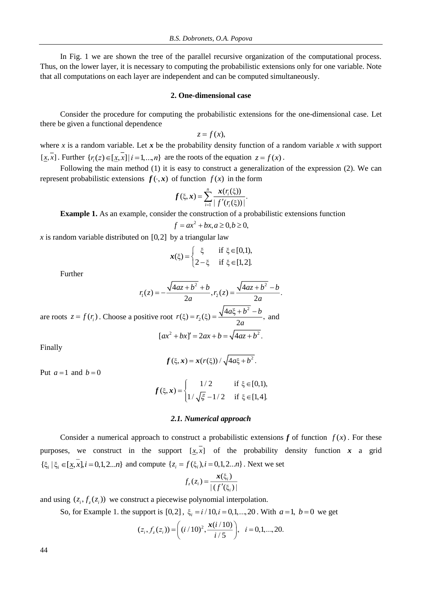In Fig. 1 we are shown the tree of the parallel recursive organization of the computational process. Thus, on the lower layer, it is necessary to computing the probabilistic extensions only for one variable. Note that all computations on each layer are independent and can be computed simultaneously.

### **2. One-dimensional case**

Consider the procedure for computing the probabilistic extensions for the one-dimensional case. Let there be given a functional dependence

$$
z=f(x),
$$

where *x* is a random variable. Let *x* be the probability density function of a random variable *x* with support [x, x]. Further  $\{r_i(z) \in [x, x] | i = 1, ..., n\}$  are the roots of the equation  $z = f(x)$ .

Following the main method (1) it is easy to construct a generalization of the expression (2). We can represent probabilistic extensions  $f(\cdot, x)$  of function  $f(x)$  in the form

$$
f(\xi, x) = \sum_{i=1}^n \frac{x(r_i(\xi))}{|f'(r_i(\xi))|}.
$$

**Example 1.** As an example, consider the construction of a probabilistic extensions function

$$
f = ax^2 + bx, a \ge 0, b \ge 0,
$$

x is random variable distributed on  $[0,2]$  by a triangular law

$$
\boldsymbol{x}(\xi) = \begin{cases} \xi & \text{if } \xi \in [0,1), \\ 2-\xi & \text{if } \xi \in [1,2]. \end{cases}
$$

Further

$$
r_1(z) = -\frac{\sqrt{4az + b^2} + b}{2a}, r_2(z) = \frac{\sqrt{4az + b^2} - b}{2a}.
$$

are roots  $z = f(r_i)$ . Choose a positive root  $r(\xi) = r_2(\xi) = \frac{\sqrt{4a\xi + b^2}}{2}$ (ξ) =  $r_2(\xi) = \frac{\sqrt{4a\xi}}{2}$  $r(\xi) = r_0(\xi) = \frac{\sqrt{4a\xi + b^2 - b^2}}{2\pi a}$ *a*  $= r_2(\xi) = \frac{\sqrt{4a\xi + b^2} - b}{2}$ , and  $[ax^{2} + bx]' = 2ax + b = \sqrt{4az + b^{2}}$ .

Finally

$$
f(\xi, x) = x(r(\xi)) / \sqrt{4a\xi + b^2}.
$$

Put  $a = 1$  and  $b = 0$ 

$$
f(\xi, x) = \begin{cases} 1/2 & \text{if } \xi \in [0,1), \\ 1/\sqrt{\xi} - 1/2 & \text{if } \xi \in [1,4]. \end{cases}
$$

### *2.1. Numerical approach*

Consider a numerical approach to construct a probabilistic extensions  $f$  of function  $f(x)$ . For these purposes, we construct in the support  $[x, x]$  of the probability density function x a grid  $\{\xi_i \mid \xi_i \in [x, x], i = 0, 1, 2...n\}$  and compute  $\{z_i = f(\xi_i), i = 0, 1, 2...n\}$ . Next we set

$$
f_z(z_i) = \frac{\mathbf{x}(\xi_i)}{|(f'(\xi_i))|}
$$

and using  $(z_i, f_z(z_i))$  we construct a piecewise polynomial interpolation.

So, for Example 1. the support is [0,2],  $\xi_i = i/10, i = 0, 1, ..., 20$ . With  $a = 1, b = 0$  we get

$$
(z_i, f_z(z_i)) = \left( (i/10)^2, \frac{x(i/10)}{i/5} \right), \quad i = 0, 1, ..., 20.
$$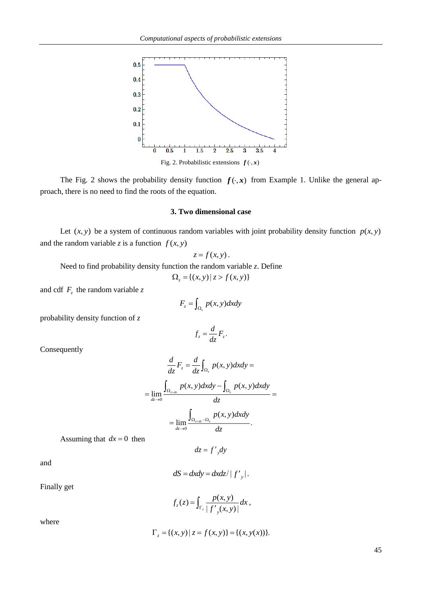

The Fig. 2 shows the probability density function  $f(\cdot, x)$  from Example 1. Unlike the general approach, there is no need to find the roots of the equation.

### **3. Two dimensional case**

Let  $(x, y)$  be a system of continuous random variables with joint probability density function  $p(x, y)$ and the random variable *z* is a function  $f(x, y)$ 

$$
z=f(x,y).
$$

Need to find probability density function the random variable *z*. Define

$$
\Omega_z = \{(x, y) \mid z > f(x, y)\}
$$

and cdf  $F_z$  the random variable *z* 

$$
F_z = \int_{\Omega_z} p(x, y) dx dy
$$

 $z = \frac{1}{\sqrt{2}}$  $f_z = \frac{d}{f}F$ *dz*  $=\frac{u}{r}F_{r}$ .

probability density function of *z*

Consequently

$$
\frac{d}{dz}F_z = \frac{d}{dz}\int_{\Omega_z} p(x, y) dxdy =
$$
\n
$$
= \lim_{dz \to 0} \frac{\int_{\Omega_{z+dz}} p(x, y) dxdy - \int_{\Omega_z} p(x, y) dxdy}{dz} =
$$
\n
$$
= \lim_{dz \to 0} \frac{\int_{\Omega_{z+dz} - \Omega_z} p(x, y) dxdy}{dz}.
$$

Assuming that  $dx = 0$  then

$$
dz = f'_{y}dy
$$

and

$$
dS = dxdy = dxdz / |f'_{y}|.
$$

Finally get

$$
f_z(z) = \int_{\Gamma_z} \frac{p(x, y)}{|f'_y(x, y)|} dx,
$$

where

$$
\Gamma_z = \{(x, y) \mid z = f(x, y)\} = \{(x, y(x))\}.
$$

45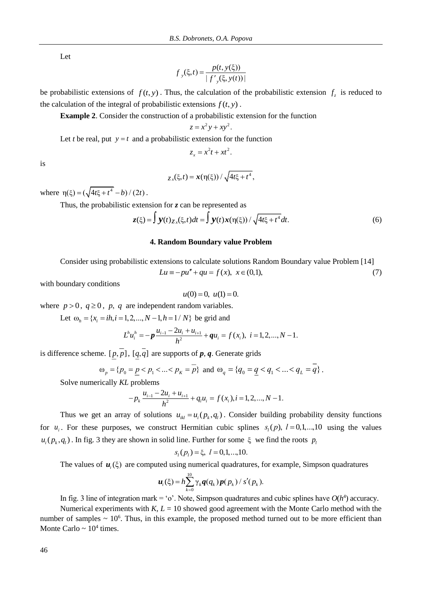Let

$$
f_{y}(\xi, t) = \frac{p(t, y(\xi))}{|f_{y}(\xi, y(t))|}
$$

be probabilistic extensions of  $f(t, y)$ . Thus, the calculation of the probabilistic extension  $f<sub>z</sub>$  is reduced to the calculation of the integral of probabilistic extensions  $f(t, y)$ .

**Example 2**. Consider the construction of a probabilistic extension for the function

$$
z = x^2y + xy^2.
$$

Let *t* be real, put  $y = t$  and a probabilistic extension for the function

$$
z_x = x^2t + xt^2.
$$

is

$$
z_x(\xi,t) = x(\eta(\xi)) / \sqrt{4t\xi + t^4},
$$

where  $\eta(\xi) = (\sqrt{4t\xi + t^4} - b)/(2t)$ .

Thus, the probabilistic extension for *z* can be represented as

$$
z(\xi) = \int \mathbf{y}(t)_{\mathcal{Z},x}(\xi,t)dt = \int \mathbf{y}(t)\mathbf{x}(\eta(\xi)) / \sqrt{4t\xi + t^4}dt.
$$
 (6)

### **4. Random Boundary value Problem**

Consider using probabilistic extensions to calculate solutions Random Boundary value Problem [14]

$$
Lu \equiv -pu'' + qu = f(x), \ x \in (0,1), \tag{7}
$$

with boundary conditions

$$
u(0) = 0, u(1) = 0.
$$

where  $p > 0$ ,  $q \ge 0$ ,  $p$ ,  $q$  are independent random variables.

Let  $\omega_h = \{x_i = ih, i = 1, 2, ..., N-1, h = 1/N\}$  be grid and

$$
L^h u_i^h = -p \frac{u_{i-1} - 2u_i + u_{i+1}}{h^2} + q u_i = f(x_i), \ i = 1, 2, ..., N-1.
$$

is difference scheme.  $[p, p]$ ,  $[q, q]$  are supports of  $p, q$ . Generate grids

$$
\omega_p = \{p_0 = \underline{p} < p_1 < \ldots < p_k = p\}
$$
 and  $\omega_q = \{q_0 = \underline{q} < q_1 < \ldots < q_k = q\}$ .

Solve numerically *KL* problems

$$
-p_k \frac{u_{i-1} - 2u_i + u_{i+1}}{h^2} + q_l u_i = f(x_i), i = 1, 2, ..., N - 1.
$$

Thus we get an array of solutions  $u_{ik} = u_i(p_k, q_l)$ . Consider building probability density functions for  $u_i$ . For these purposes, we construct Hermitian cubic splines  $s_i(p)$ ,  $l = 0,1,...,10$  using the values  $u_i(p_k, q_l)$ . In fig. 3 they are shown in solid line. Further for some  $\xi$  we find the roots  $p_l$ 

$$
s_l(p_l) = \xi, l = 0, 1, \dots, 10.
$$

The values of  $u_i(\xi)$  are computed using numerical quadratures, for example, Simpson quadratures

$$
\boldsymbol{u}_i(\xi) = h \sum_{k=0}^{10} \gamma_k \boldsymbol{q}(q_k) \boldsymbol{p}(p_k) / s'(p_k).
$$

In fig. 3 line of integration mark = 'o'. Note, Simpson quadratures and cubic splines have  $O(h^4)$  accuracy.

Numerical experiments with  $K$ ,  $L = 10$  showed good agreement with the Monte Carlo method with the number of samples  $\sim 10^6$ . Thus, in this example, the proposed method turned out to be more efficient than Monte Carlo  $\sim 10^4$  times.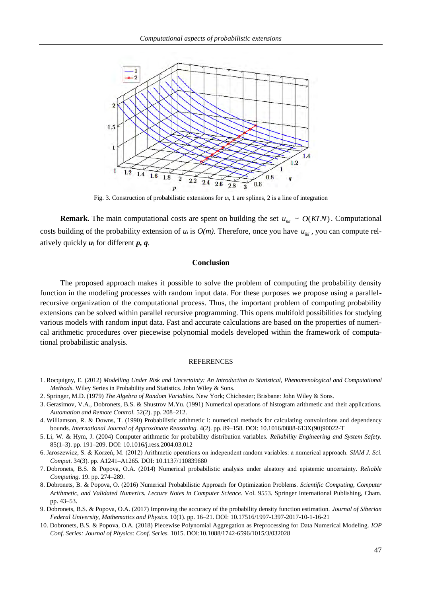

Fig. 3. Construction of probabilistic extensions for *u*i, 1 are splines, 2 is a line of integration

**Remark.** The main computational costs are spent on building the set  $u_{ik} \sim O(KLN)$ . Computational costs building of the probability extension of  $u_i$  is  $O(m)$ . Therefore, once you have  $u_{ikl}$ , you can compute relatively quickly *u<sup>i</sup>* for different *p, q.*

### **Conclusion**

The proposed approach makes it possible to solve the problem of computing the probability density function in the modeling processes with random input data. For these purposes we propose using a parallelrecursive organization of the computational process. Thus, the important problem of computing probability extensions can be solved within parallel recursive programming. This opens multifold possibilities for studying various models with random input data. Fast and accurate calculations are based on the properties of numerical arithmetic procedures over piecewise polynomial models developed within the framework of computational probabilistic analysis.

#### REFERENCES

- 1. Rocquigny, E. (2012) *Modelling Under Risk and Uncertainty: An Introduction to Statistical, Phenomenological and Computational Methods*. Wiley Series in Probability and Statistics. John Wiley & Sons.
- 2. Springer, M.D. (1979) *The Algebra of Random Variables*. New York; Chichester; Brisbane: John Wiley & Sons.
- 3. Gerasimov, V.A., Dobronets, B.S. & Shustrov M.Yu. (1991) Numerical operations of histogram arithmetic and their applications. *Automation and Remote Control.* 52(2). pp. 208–212.
- 4. Williamson, R. & Downs, T. (1990) Probabilistic arithmetic i: numerical methods for calculating convolutions and dependency bounds. *International Journal of Approximate Reasoning.* 4(2). pp. 89–158. DOI: 10.1016/0888-613X(90)90022-T
- 5. Li, W. & Hym, J. (2004) Computer arithmetic for probability distribution variables. *Reliability Engineering and System Safety.*  85(1–3). pp. 191–209. DOI: 10.1016/j.ress.2004.03.012
- 6. Jaroszewicz, S. & Korzeń, M. (2012) Arithmetic operations on independent random variables: a numerical approach. *SIAM J. Sci. Comput*. 34(3). pp. A1241–A1265. DOI: 10.1137/110839680
- 7. Dobronets, B.S. & Popova, O.A. (2014) Numerical probabilistic analysis under aleatory and epistemic uncertainty. *Reliable Computing.* 19. pp. 274–289.
- 8. Dobronets, B. & Popova, O. (2016) Numerical Probabilistic Approach for Optimization Problems. *Scientific Computing, Computer Arithmetic, and Validated Numerics. Lecture Notes in Computer Science.* Vol. 9553*.* Springer International Publishing, Cham. pp. 43–53.
- 9. Dobronets, B.S. & Popova, O.A. (2017) Improving the accuracy of the probability density function estimation. *Journal of Siberian Federal University, Mathematics and Physics*. 10(1). pp. 16–21. DOI: 10.17516/1997-1397-2017-10-1-16-21
- 10. Dobronets, B.S. & Popova, O.A. (2018) Piecewise Polynomial Aggregation as Preprocessing for Data Numerical Modeling. *IOP Conf. Series: Journal of Physics: Conf. Series.* 1015. DOI:10.1088/1742-6596/1015/3/032028